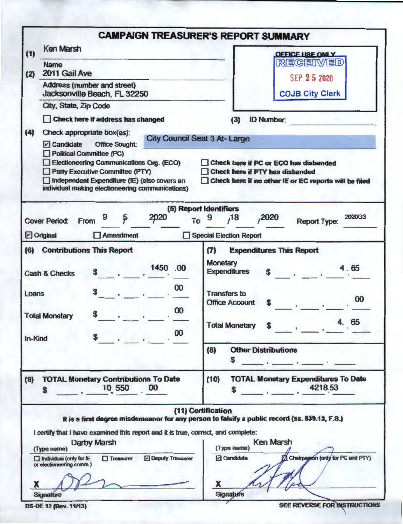|                                                                                                                                                                                                                                                                                                         | <b>CAMPAIGN TREASURER'S REPORT SUMMARY</b>                                                                                                                                                                                                              |  |  |  |
|---------------------------------------------------------------------------------------------------------------------------------------------------------------------------------------------------------------------------------------------------------------------------------------------------------|---------------------------------------------------------------------------------------------------------------------------------------------------------------------------------------------------------------------------------------------------------|--|--|--|
| <b>Ken Marsh</b><br>(1)                                                                                                                                                                                                                                                                                 | <b>OFFICE USE ONLY</b>                                                                                                                                                                                                                                  |  |  |  |
| <b>Name</b><br>2011 Gail Ave<br>(2)                                                                                                                                                                                                                                                                     | <b>REGEIVED</b><br>SEP 25 2020                                                                                                                                                                                                                          |  |  |  |
| <b>Address (number and street)</b><br>Jacksonville Beach, FL 32250                                                                                                                                                                                                                                      | <b>COJB City Clerk</b>                                                                                                                                                                                                                                  |  |  |  |
| City, State, Zip Code                                                                                                                                                                                                                                                                                   |                                                                                                                                                                                                                                                         |  |  |  |
| Check here if address has changed                                                                                                                                                                                                                                                                       | <b>ID Number:</b><br>(3)                                                                                                                                                                                                                                |  |  |  |
| (4)<br>Check appropriate box(es):<br>$\triangleright$ Candidate<br><b>Office Sought:</b><br>Political Committee (PC)<br>Electioneering Communications Org. (ECO)<br>Party Executive Committee (PTY)<br>Independent Expenditure (IE) (also covers an<br>individual making electioneering communications) | <b>City Council Seat 3 At-Large</b><br>Check here if PC or ECO has disbanded<br><b>Check here if PTY has disbanded</b><br>Check here if no other IE or EC reports will be filed                                                                         |  |  |  |
| 2020<br>Ş,<br><b>Cover Period:</b><br>From                                                                                                                                                                                                                                                              | (5) Report Identifiers<br>,2020<br>2020G3<br>,18<br>To<br><b>Report Type:</b>                                                                                                                                                                           |  |  |  |
| $\Box$ Original<br>$\Box$ Amendment                                                                                                                                                                                                                                                                     | Special Election Report                                                                                                                                                                                                                                 |  |  |  |
| (6)<br><b>Contributions This Report</b><br>1450 .00<br><b>Cash &amp; Checks</b><br>00<br>Loans<br>$\bf{00}$<br>S<br><b>Total Monetary</b><br>00<br>In-Kind                                                                                                                                              | <b>Expenditures This Report</b><br>$\boldsymbol{\sigma}$<br><b>Monetary</b><br>4.65<br><b>Expenditures</b><br><b>Transfers to</b><br>00<br><b>Office Account</b><br>4.65<br><b>Total Monetary</b><br><sup>\$</sup><br>(8)<br><b>Other Distributions</b> |  |  |  |
| (9)<br><b>TOTAL Monetary Contributions To Date</b><br>10 550<br>00<br>S.                                                                                                                                                                                                                                | \$<br><b>TOTAL Monetary Expenditures To Date</b><br>(10)<br>4218.53<br>S.                                                                                                                                                                               |  |  |  |
| I certify that I have examined this report and it is true, correct, and complete:<br><b>Darby Marsh</b><br>(Type name)<br><b>Deputy Treasurer</b><br>$\Box$ Individual (only for IE<br>$\Box$ Treasurer<br>or electioneering comm.)<br>x                                                                | (11) Certification<br>It is a first degree misdemeanor for any person to falsify a public record (ss. 839.13, F.S.)<br><b>Ken Marsh</b><br>(Type name)<br>Chairperson (only for PC and PTY)<br>$\Box$ Candidate<br>X                                    |  |  |  |
|                                                                                                                                                                                                                                                                                                         |                                                                                                                                                                                                                                                         |  |  |  |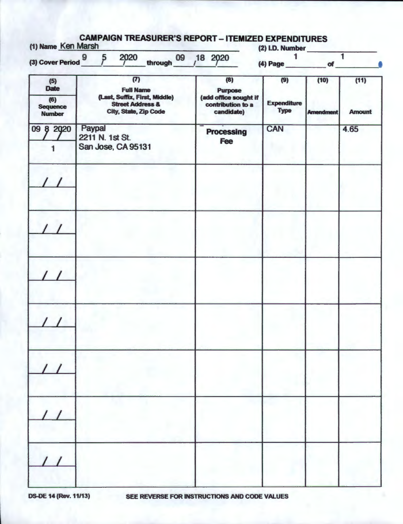| (1) Name Ken Marsh<br>(3) Cover Period 9 | 2020<br>09<br>$5\overline{ }$<br>through                 | 18 2020                                                                                     | (2) I.D. Number                          |                          | 1                             |
|------------------------------------------|----------------------------------------------------------|---------------------------------------------------------------------------------------------|------------------------------------------|--------------------------|-------------------------------|
|                                          |                                                          |                                                                                             | $(4)$ Page                               |                          | of                            |
| (5)<br><b>Date</b>                       | (7)<br><b>Full Name</b><br>(Last, Suffix, First, Middle) | (8)<br><b>Purpose</b>                                                                       | (9)<br><b>Expenditure</b><br>Type<br>CAN | (10)<br><b>Amendment</b> | (11)<br><b>Amount</b><br>4.65 |
| (6)<br><b>Sequence</b><br><b>Number</b>  | <b>Street Address &amp;</b><br>City, State, Zip Code     | (add office sought if<br>contribution to a<br>candidate)<br><b>Processing</b><br><b>Fee</b> |                                          |                          |                               |
| 09 8 2020                                | Paypal<br>2211 N. 1st St.                                |                                                                                             |                                          |                          |                               |
|                                          | San Jose, CA 95131                                       |                                                                                             |                                          |                          |                               |
|                                          |                                                          |                                                                                             |                                          |                          |                               |
|                                          |                                                          |                                                                                             |                                          |                          |                               |
|                                          |                                                          |                                                                                             |                                          |                          |                               |
|                                          |                                                          |                                                                                             |                                          |                          |                               |
|                                          |                                                          |                                                                                             |                                          |                          |                               |
|                                          |                                                          |                                                                                             |                                          |                          |                               |
|                                          |                                                          |                                                                                             |                                          |                          |                               |

OS-OE 14 (Rev. 11/13) SEE REVERSE FOR INSTRUCTIONS AND CODE VALUES